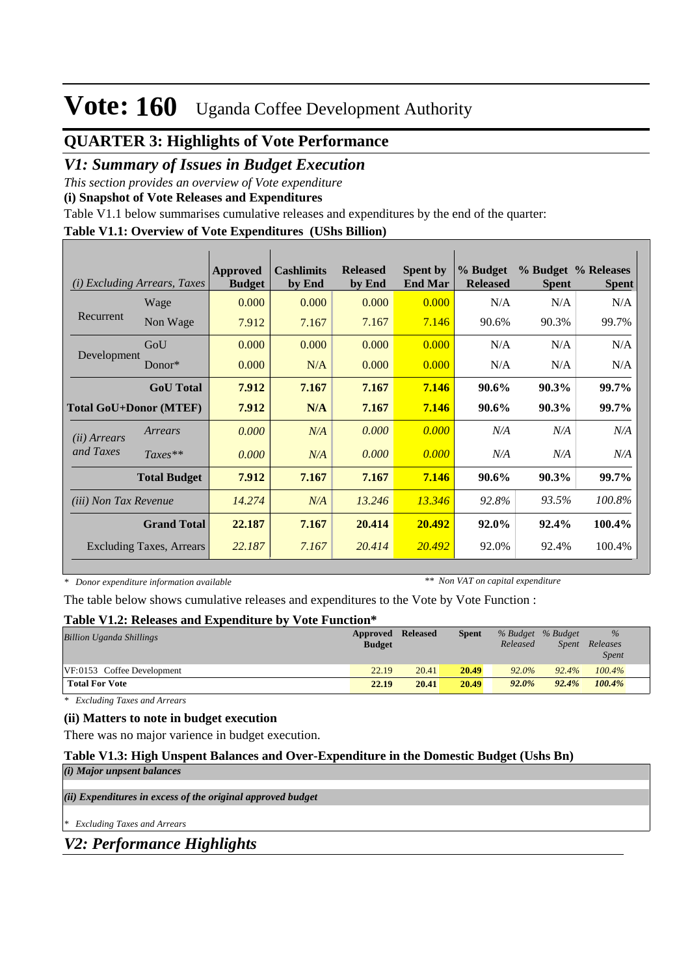## **QUARTER 3: Highlights of Vote Performance**

### *V1: Summary of Issues in Budget Execution*

*This section provides an overview of Vote expenditure* 

**(i) Snapshot of Vote Releases and Expenditures**

Table V1.1 below summarises cumulative releases and expenditures by the end of the quarter:

#### **Table V1.1: Overview of Vote Expenditures (UShs Billion)**

| <i>Excluding Arrears, Taxes</i><br>(i) |                          | Approved<br><b>Budget</b> | <b>Cashlimits</b><br>by End | <b>Released</b><br>by End | <b>Spent by</b><br><b>End Mar</b> | % Budget<br><b>Released</b> | <b>Spent</b> | % Budget % Releases<br><b>Spent</b> |
|----------------------------------------|--------------------------|---------------------------|-----------------------------|---------------------------|-----------------------------------|-----------------------------|--------------|-------------------------------------|
|                                        | Wage                     | 0.000                     | 0.000                       | 0.000                     | 0.000                             | N/A                         | N/A          | N/A                                 |
| Recurrent                              | Non Wage                 | 7.912                     | 7.167                       | 7.167                     | 7.146                             | 90.6%                       | 90.3%        | 99.7%                               |
| Development                            | GoU                      | 0.000                     | 0.000                       | 0.000                     | 0.000                             | N/A                         | N/A          | N/A                                 |
|                                        | Donor $*$                | 0.000                     | N/A                         | 0.000                     | 0.000                             | N/A                         | N/A          | N/A                                 |
|                                        | <b>GoU</b> Total         | 7.912                     | 7.167                       | 7.167                     | 7.146                             | 90.6%                       | 90.3%        | 99.7%                               |
| <b>Total GoU+Donor (MTEF)</b>          |                          | 7.912                     | N/A                         | 7.167                     | 7.146                             | 90.6%                       | 90.3%        | 99.7%                               |
| ( <i>ii</i> ) Arrears                  | Arrears                  | 0.000                     | N/A                         | 0.000                     | 0.000                             | N/A                         | N/A          | N/A                                 |
| and Taxes                              | $Taxes**$                | 0.000                     | N/A                         | 0.000                     | 0.000                             | N/A                         | N/A          | N/A                                 |
|                                        | <b>Total Budget</b>      | 7.912                     | 7.167                       | 7.167                     | 7.146                             | 90.6%                       | 90.3%        | 99.7%                               |
| <i>(iii)</i> Non Tax Revenue           |                          | 14.274                    | N/A                         | 13.246                    | 13.346                            | 92.8%                       | 93.5%        | 100.8%                              |
|                                        | <b>Grand Total</b>       | 22.187                    | 7.167                       | 20.414                    | 20.492                            | 92.0%                       | 92.4%        | 100.4%                              |
|                                        | Excluding Taxes, Arrears | 22.187                    | 7.167                       | 20.414                    | 20.492                            | 92.0%                       | 92.4%        | 100.4%                              |

*\* Donor expenditure information available*

*\*\* Non VAT on capital expenditure*

The table below shows cumulative releases and expenditures to the Vote by Vote Function :

#### **Table V1.2: Releases and Expenditure by Vote Function\***

| <b>Billion Uganda Shillings</b> | <b>Approved Released</b><br><b>Budget</b> |       | <b>Spent</b> | % Budget % Budget<br>Released | <i>Spent</i> | %<br>Releases<br><i>Spent</i> |
|---------------------------------|-------------------------------------------|-------|--------------|-------------------------------|--------------|-------------------------------|
| VF:0153 Coffee Development      | 22.19                                     | 20.41 | 20.49        | $92.0\%$                      | 92.4%        | $100.4\%$                     |
| <b>Total For Vote</b>           | 22.19                                     | 20.41 | 20.49        | $92.0\%$                      | 92.4%        | 100.4%                        |

*\* Excluding Taxes and Arrears*

#### **(ii) Matters to note in budget execution**

There was no major varience in budget execution.

#### **Table V1.3: High Unspent Balances and Over-Expenditure in the Domestic Budget (Ushs Bn)** *(i) Major unpsent balances*

*(ii) Expenditures in excess of the original approved budget*

*\* Excluding Taxes and Arrears*

*V2: Performance Highlights*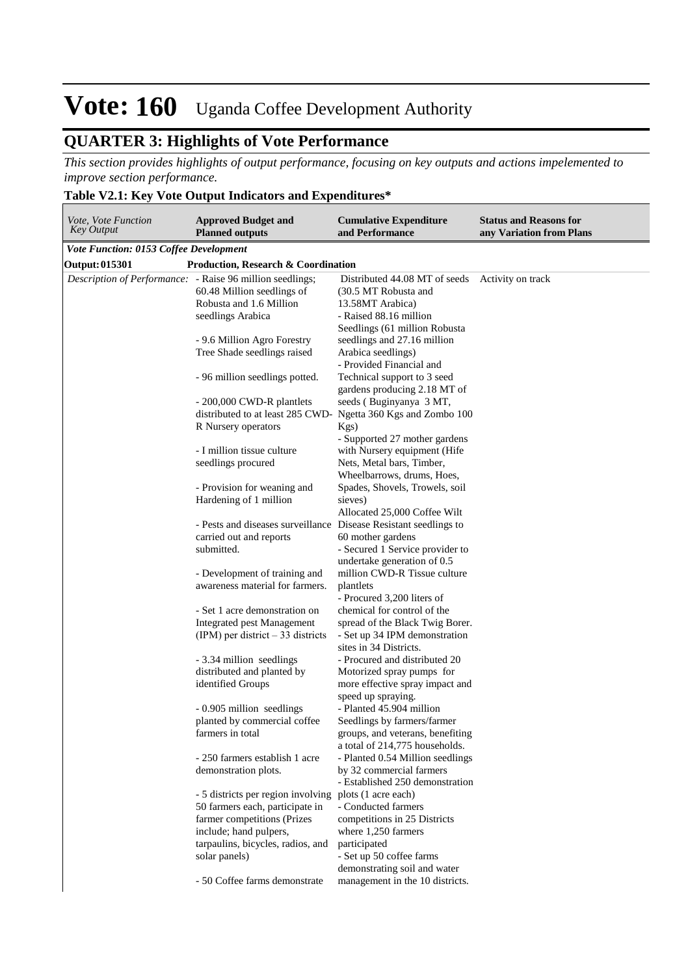## **QUARTER 3: Highlights of Vote Performance**

*This section provides highlights of output performance, focusing on key outputs and actions impelemented to improve section performance.*

### **Table V2.1: Key Vote Output Indicators and Expenditures\***

| <i>Vote, Vote Function</i><br><b>Key Output</b>           | <b>Approved Budget and</b><br><b>Planned outputs</b>                                                                                               | <b>Cumulative Expenditure</b><br>and Performance                                                                                     | <b>Status and Reasons for</b><br>any Variation from Plans |
|-----------------------------------------------------------|----------------------------------------------------------------------------------------------------------------------------------------------------|--------------------------------------------------------------------------------------------------------------------------------------|-----------------------------------------------------------|
| <b>Vote Function: 0153 Coffee Development</b>             |                                                                                                                                                    |                                                                                                                                      |                                                           |
| Output: 015301                                            | <b>Production, Research &amp; Coordination</b>                                                                                                     |                                                                                                                                      |                                                           |
| Description of Performance: - Raise 96 million seedlings; | 60.48 Million seedlings of<br>Robusta and 1.6 Million<br>seedlings Arabica                                                                         | Distributed 44.08 MT of seeds<br>(30.5 MT Robusta and<br>13.58MT Arabica)<br>- Raised 88.16 million<br>Seedlings (61 million Robusta | Activity on track                                         |
|                                                           | - 9.6 Million Agro Forestry<br>Tree Shade seedlings raised                                                                                         | seedlings and 27.16 million<br>Arabica seedlings)<br>- Provided Financial and                                                        |                                                           |
|                                                           | - 96 million seedlings potted.                                                                                                                     | Technical support to 3 seed<br>gardens producing 2.18 MT of                                                                          |                                                           |
|                                                           | - 200,000 CWD-R plantlets<br>distributed to at least 285 CWD- Ngetta 360 Kgs and Zombo 100<br>R Nursery operators                                  | seeds (Buginyanya 3 MT,<br>Kgs)                                                                                                      |                                                           |
|                                                           | - I million tissue culture<br>seedlings procured                                                                                                   | - Supported 27 mother gardens<br>with Nursery equipment (Hife<br>Nets, Metal bars, Timber,<br>Wheelbarrows, drums, Hoes,             |                                                           |
|                                                           | - Provision for weaning and<br>Hardening of 1 million                                                                                              | Spades, Shovels, Trowels, soil<br>sieves)<br>Allocated 25,000 Coffee Wilt                                                            |                                                           |
|                                                           | - Pests and diseases surveillance Disease Resistant seedlings to<br>carried out and reports<br>submitted.                                          | 60 mother gardens<br>- Secured 1 Service provider to                                                                                 |                                                           |
|                                                           | - Development of training and<br>awareness material for farmers.                                                                                   | undertake generation of 0.5<br>million CWD-R Tissue culture<br>plantlets<br>- Procured 3,200 liters of                               |                                                           |
|                                                           | - Set 1 acre demonstration on<br><b>Integrated pest Management</b><br>$(IPM)$ per district – 33 districts                                          | chemical for control of the<br>spread of the Black Twig Borer.<br>- Set up 34 IPM demonstration<br>sites in 34 Districts.            |                                                           |
|                                                           | - 3.34 million seedlings<br>distributed and planted by<br>identified Groups                                                                        | - Procured and distributed 20<br>Motorized spray pumps for<br>more effective spray impact and<br>speed up spraying.                  |                                                           |
|                                                           | - 0.905 million seedlings<br>planted by commercial coffee<br>farmers in total                                                                      | - Planted 45.904 million<br>Seedlings by farmers/farmer<br>groups, and veterans, benefiting<br>a total of 214,775 households.        |                                                           |
|                                                           | - 250 farmers establish 1 acre<br>demonstration plots.                                                                                             | - Planted 0.54 Million seedlings<br>by 32 commercial farmers<br>- Established 250 demonstration                                      |                                                           |
|                                                           | - 5 districts per region involving plots (1 acre each)<br>50 farmers each, participate in<br>farmer competitions (Prizes<br>include; hand pulpers, | - Conducted farmers<br>competitions in 25 Districts<br>where 1,250 farmers                                                           |                                                           |
|                                                           | tarpaulins, bicycles, radios, and<br>solar panels)<br>- 50 Coffee farms demonstrate                                                                | participated<br>- Set up 50 coffee farms<br>demonstrating soil and water<br>management in the 10 districts.                          |                                                           |
|                                                           |                                                                                                                                                    |                                                                                                                                      |                                                           |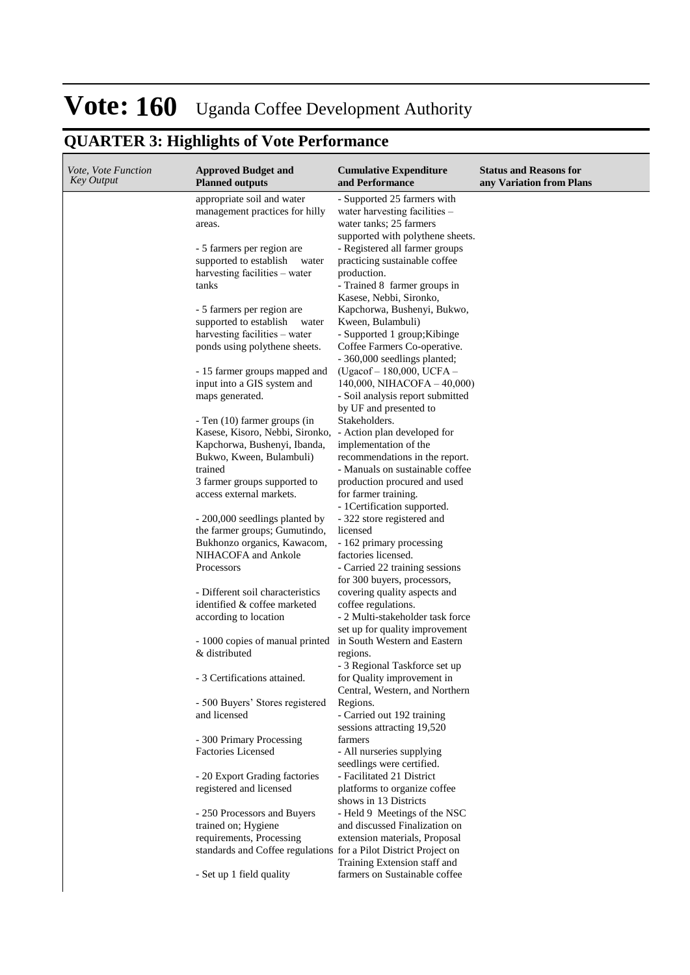# **QUARTER 3: Highlights of Vote Performance**

| <i>Vote, Vote Function</i><br><b>Key Output</b> | <b>Approved Budget and</b><br><b>Planned outputs</b>             | <b>Cumulative Expenditure</b><br>and Performance                   | <b>Status and Reasons for</b><br>any Variation from Plans |
|-------------------------------------------------|------------------------------------------------------------------|--------------------------------------------------------------------|-----------------------------------------------------------|
|                                                 | appropriate soil and water                                       | - Supported 25 farmers with                                        |                                                           |
|                                                 | management practices for hilly                                   | water harvesting facilities -                                      |                                                           |
|                                                 | areas.                                                           | water tanks; 25 farmers                                            |                                                           |
|                                                 | - 5 farmers per region are                                       | supported with polythene sheets.<br>- Registered all farmer groups |                                                           |
|                                                 | supported to establish<br>water                                  | practicing sustainable coffee                                      |                                                           |
|                                                 | harvesting facilities – water                                    | production.                                                        |                                                           |
|                                                 | tanks                                                            | - Trained 8 farmer groups in<br>Kasese, Nebbi, Sironko,            |                                                           |
|                                                 | - 5 farmers per region are                                       | Kapchorwa, Bushenyi, Bukwo,                                        |                                                           |
|                                                 | supported to establish<br>water                                  | Kween, Bulambuli)                                                  |                                                           |
|                                                 | harvesting facilities – water                                    | - Supported 1 group; Kibinge                                       |                                                           |
|                                                 | ponds using polythene sheets.                                    | Coffee Farmers Co-operative.<br>- 360,000 seedlings planted;       |                                                           |
|                                                 | - 15 farmer groups mapped and                                    | (Ugacof-180,000, UCFA-                                             |                                                           |
|                                                 | input into a GIS system and                                      | 140,000, NIHACOFA $-40,000$ )                                      |                                                           |
|                                                 | maps generated.                                                  | - Soil analysis report submitted                                   |                                                           |
|                                                 |                                                                  | by UF and presented to                                             |                                                           |
|                                                 | - Ten (10) farmer groups (in<br>Kasese, Kisoro, Nebbi, Sironko,  | Stakeholders.<br>- Action plan developed for                       |                                                           |
|                                                 | Kapchorwa, Bushenyi, Ibanda,                                     | implementation of the                                              |                                                           |
|                                                 | Bukwo, Kween, Bulambuli)                                         | recommendations in the report.                                     |                                                           |
|                                                 | trained                                                          | - Manuals on sustainable coffee                                    |                                                           |
|                                                 | 3 farmer groups supported to                                     | production procured and used                                       |                                                           |
|                                                 | access external markets.                                         | for farmer training.                                               |                                                           |
|                                                 |                                                                  | - 1 Certification supported.                                       |                                                           |
|                                                 | - 200,000 seedlings planted by<br>the farmer groups; Gumutindo,  | - 322 store registered and<br>licensed                             |                                                           |
|                                                 | Bukhonzo organics, Kawacom,                                      | - 162 primary processing                                           |                                                           |
|                                                 | NIHACOFA and Ankole                                              | factories licensed.                                                |                                                           |
|                                                 | Processors                                                       | - Carried 22 training sessions                                     |                                                           |
|                                                 |                                                                  | for 300 buyers, processors,                                        |                                                           |
|                                                 | - Different soil characteristics<br>identified & coffee marketed | covering quality aspects and<br>coffee regulations.                |                                                           |
|                                                 | according to location                                            | - 2 Multi-stakeholder task force                                   |                                                           |
|                                                 |                                                                  | set up for quality improvement                                     |                                                           |
|                                                 | - 1000 copies of manual printed<br>& distributed                 | in South Western and Eastern<br>regions.                           |                                                           |
|                                                 |                                                                  | - 3 Regional Taskforce set up                                      |                                                           |
|                                                 | - 3 Certifications attained.                                     | for Quality improvement in                                         |                                                           |
|                                                 |                                                                  | Central, Western, and Northern                                     |                                                           |
|                                                 | - 500 Buyers' Stores registered                                  | Regions.                                                           |                                                           |
|                                                 | and licensed                                                     | - Carried out 192 training                                         |                                                           |
|                                                 | - 300 Primary Processing                                         | sessions attracting 19,520<br>farmers                              |                                                           |
|                                                 | <b>Factories Licensed</b>                                        | - All nurseries supplying                                          |                                                           |
|                                                 |                                                                  | seedlings were certified.                                          |                                                           |
|                                                 | - 20 Export Grading factories                                    | - Facilitated 21 District                                          |                                                           |
|                                                 | registered and licensed                                          | platforms to organize coffee<br>shows in 13 Districts              |                                                           |
|                                                 | - 250 Processors and Buyers                                      | - Held 9 Meetings of the NSC                                       |                                                           |
|                                                 | trained on; Hygiene                                              | and discussed Finalization on                                      |                                                           |
|                                                 | requirements, Processing                                         | extension materials, Proposal                                      |                                                           |
|                                                 | standards and Coffee regulations for a Pilot District Project on | Training Extension staff and                                       |                                                           |
|                                                 | - Set up 1 field quality                                         | farmers on Sustainable coffee                                      |                                                           |
|                                                 |                                                                  |                                                                    |                                                           |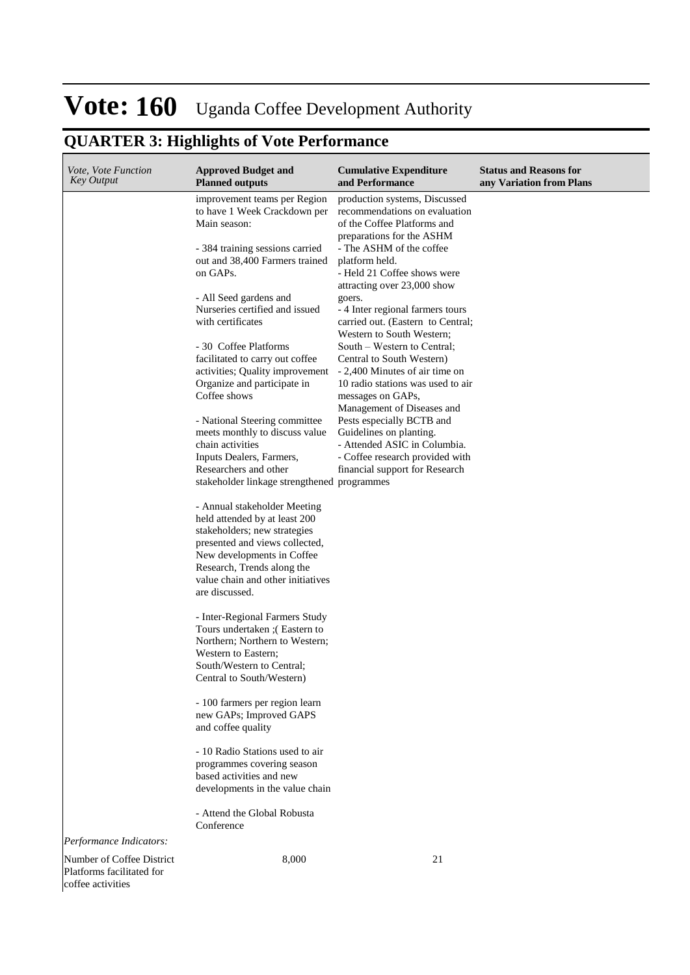## **QUARTER 3: Highlights of Vote Performance**

| Vote, Vote Function<br><b>Key Output</b>                                                               | <b>Approved Budget and</b><br><b>Planned outputs</b>                                                                                                                                                                                                                                                                                                                                                                                                                                                                                                                                                                                                                                                                                                                                                                                                                                                              | <b>Cumulative Expenditure</b><br>and Performance                                                                                                                                                                                                                                                                                                                                                                                                                                                                                                                                                                                                                                                          | <b>Status and Reasons for</b><br>any Variation from Plans |
|--------------------------------------------------------------------------------------------------------|-------------------------------------------------------------------------------------------------------------------------------------------------------------------------------------------------------------------------------------------------------------------------------------------------------------------------------------------------------------------------------------------------------------------------------------------------------------------------------------------------------------------------------------------------------------------------------------------------------------------------------------------------------------------------------------------------------------------------------------------------------------------------------------------------------------------------------------------------------------------------------------------------------------------|-----------------------------------------------------------------------------------------------------------------------------------------------------------------------------------------------------------------------------------------------------------------------------------------------------------------------------------------------------------------------------------------------------------------------------------------------------------------------------------------------------------------------------------------------------------------------------------------------------------------------------------------------------------------------------------------------------------|-----------------------------------------------------------|
|                                                                                                        | improvement teams per Region<br>to have 1 Week Crackdown per<br>Main season:<br>- 384 training sessions carried<br>out and 38,400 Farmers trained<br>on GAPs.<br>- All Seed gardens and<br>Nurseries certified and issued<br>with certificates<br>- 30 Coffee Platforms<br>facilitated to carry out coffee<br>activities; Quality improvement<br>Organize and participate in<br>Coffee shows<br>- National Steering committee<br>meets monthly to discuss value<br>chain activities<br>Inputs Dealers, Farmers,<br>Researchers and other<br>stakeholder linkage strengthened programmes<br>- Annual stakeholder Meeting<br>held attended by at least 200<br>stakeholders; new strategies<br>presented and views collected,<br>New developments in Coffee<br>Research, Trends along the<br>value chain and other initiatives<br>are discussed.<br>- Inter-Regional Farmers Study<br>Tours undertaken ; (Eastern to | production systems, Discussed<br>recommendations on evaluation<br>of the Coffee Platforms and<br>preparations for the ASHM<br>- The ASHM of the coffee<br>platform held.<br>- Held 21 Coffee shows were<br>attracting over 23,000 show<br>goers.<br>- 4 Inter regional farmers tours<br>carried out. (Eastern to Central;<br>Western to South Western;<br>South – Western to Central;<br>Central to South Western)<br>- 2,400 Minutes of air time on<br>10 radio stations was used to air<br>messages on GAPs,<br>Management of Diseases and<br>Pests especially BCTB and<br>Guidelines on planting.<br>- Attended ASIC in Columbia.<br>- Coffee research provided with<br>financial support for Research |                                                           |
|                                                                                                        | Northern; Northern to Western;<br>Western to Eastern;<br>South/Western to Central:<br>Central to South/Western)                                                                                                                                                                                                                                                                                                                                                                                                                                                                                                                                                                                                                                                                                                                                                                                                   |                                                                                                                                                                                                                                                                                                                                                                                                                                                                                                                                                                                                                                                                                                           |                                                           |
|                                                                                                        | - 100 farmers per region learn<br>new GAPs; Improved GAPS<br>and coffee quality                                                                                                                                                                                                                                                                                                                                                                                                                                                                                                                                                                                                                                                                                                                                                                                                                                   |                                                                                                                                                                                                                                                                                                                                                                                                                                                                                                                                                                                                                                                                                                           |                                                           |
|                                                                                                        | - 10 Radio Stations used to air<br>programmes covering season<br>based activities and new<br>developments in the value chain                                                                                                                                                                                                                                                                                                                                                                                                                                                                                                                                                                                                                                                                                                                                                                                      |                                                                                                                                                                                                                                                                                                                                                                                                                                                                                                                                                                                                                                                                                                           |                                                           |
|                                                                                                        | - Attend the Global Robusta<br>Conference                                                                                                                                                                                                                                                                                                                                                                                                                                                                                                                                                                                                                                                                                                                                                                                                                                                                         |                                                                                                                                                                                                                                                                                                                                                                                                                                                                                                                                                                                                                                                                                                           |                                                           |
| Performance Indicators:<br>Number of Coffee District<br>Platforms facilitated for<br>coffee activities | 8,000                                                                                                                                                                                                                                                                                                                                                                                                                                                                                                                                                                                                                                                                                                                                                                                                                                                                                                             | 21                                                                                                                                                                                                                                                                                                                                                                                                                                                                                                                                                                                                                                                                                                        |                                                           |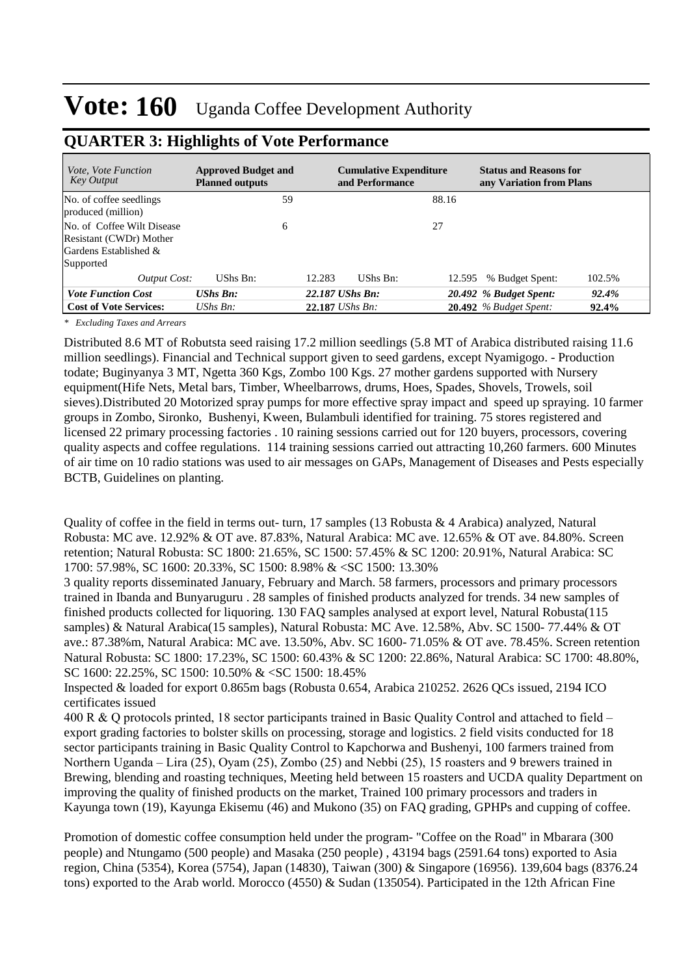| <i>Vote, Vote Function</i><br><b>Key Output</b>                                                | <b>Approved Budget and</b><br><b>Planned outputs</b> | <b>Cumulative Expenditure</b><br>and Performance | <b>Status and Reasons for</b><br>any Variation from Plans |          |
|------------------------------------------------------------------------------------------------|------------------------------------------------------|--------------------------------------------------|-----------------------------------------------------------|----------|
| No. of coffee seedlings<br>produced (million)                                                  | 59                                                   |                                                  | 88.16                                                     |          |
| No. of Coffee Wilt Disease<br>Resistant (CWDr) Mother<br>Gardens Established $\&$<br>Supported | 6                                                    |                                                  | 27                                                        |          |
| <b>Output Cost:</b>                                                                            | UShs Bn:                                             | 12.283<br>UShs Bn:                               | 102.5%<br>% Budget Spent:<br>12.595                       |          |
| <b>Vote Function Cost</b>                                                                      | $UShs$ $Bn$ :                                        | 22.187 UShs Bn:                                  | 20.492 % Budget Spent:                                    | 92.4%    |
| <b>Cost of Vote Services:</b>                                                                  | $UShs Bn$ :                                          | 22.187 UShs Bn:                                  | $20.492$ % Budget Spent:                                  | $92.4\%$ |

### **QUARTER 3: Highlights of Vote Performance**

*\* Excluding Taxes and Arrears*

Distributed 8.6 MT of Robutsta seed raising 17.2 million seedlings (5.8 MT of Arabica distributed raising 11.6 million seedlings). Financial and Technical support given to seed gardens, except Nyamigogo. - Production todate; Buginyanya 3 MT, Ngetta 360 Kgs, Zombo 100 Kgs. 27 mother gardens supported with Nursery equipment(Hife Nets, Metal bars, Timber, Wheelbarrows, drums, Hoes, Spades, Shovels, Trowels, soil sieves).Distributed 20 Motorized spray pumps for more effective spray impact and speed up spraying. 10 farmer groups in Zombo, Sironko, Bushenyi, Kween, Bulambuli identified for training. 75 stores registered and licensed 22 primary processing factories . 10 raining sessions carried out for 120 buyers, processors, covering quality aspects and coffee regulations. 114 training sessions carried out attracting 10,260 farmers. 600 Minutes of air time on 10 radio stations was used to air messages on GAPs, Management of Diseases and Pests especially BCTB, Guidelines on planting.

Quality of coffee in the field in terms out- turn, 17 samples (13 Robusta  $\&$  4 Arabica) analyzed, Natural Robusta: MC ave. 12.92% & OT ave. 87.83%, Natural Arabica: MC ave. 12.65% & OT ave. 84.80%. Screen retention; Natural Robusta: SC 1800: 21.65%, SC 1500: 57.45% & SC 1200: 20.91%, Natural Arabica: SC 1700: 57.98%, SC 1600: 20.33%, SC 1500: 8.98% & <SC 1500: 13.30%

3 quality reports disseminated January, February and March. 58 farmers, processors and primary processors trained in Ibanda and Bunyaruguru . 28 samples of finished products analyzed for trends. 34 new samples of finished products collected for liquoring. 130 FAQ samples analysed at export level, Natural Robusta(115 samples) & Natural Arabica(15 samples), Natural Robusta: MC Ave. 12.58%, Abv. SC 1500- 77.44% & OT ave.: 87.38%m, Natural Arabica: MC ave. 13.50%, Abv. SC 1600- 71.05% & OT ave. 78.45%. Screen retention Natural Robusta: SC 1800: 17.23%, SC 1500: 60.43% & SC 1200: 22.86%, Natural Arabica: SC 1700: 48.80%, SC 1600: 22.25%, SC 1500: 10.50% & <SC 1500: 18.45%

Inspected & loaded for export 0.865m bags (Robusta 0.654, Arabica 210252. 2626 QCs issued, 2194 ICO certificates issued

400 R & Q protocols printed, 18 sector participants trained in Basic Quality Control and attached to field – export grading factories to bolster skills on processing, storage and logistics. 2 field visits conducted for 18 sector participants training in Basic Quality Control to Kapchorwa and Bushenyi, 100 farmers trained from Northern Uganda – Lira (25), Oyam (25), Zombo (25) and Nebbi (25), 15 roasters and 9 brewers trained in Brewing, blending and roasting techniques, Meeting held between 15 roasters and UCDA quality Department on improving the quality of finished products on the market, Trained 100 primary processors and traders in Kayunga town (19), Kayunga Ekisemu (46) and Mukono (35) on FAQ grading, GPHPs and cupping of coffee.

Promotion of domestic coffee consumption held under the program- "Coffee on the Road" in Mbarara (300 people) and Ntungamo (500 people) and Masaka (250 people) , 43194 bags (2591.64 tons) exported to Asia region, China (5354), Korea (5754), Japan (14830), Taiwan (300) & Singapore (16956). 139,604 bags (8376.24 tons) exported to the Arab world. Morocco (4550) & Sudan (135054). Participated in the 12th African Fine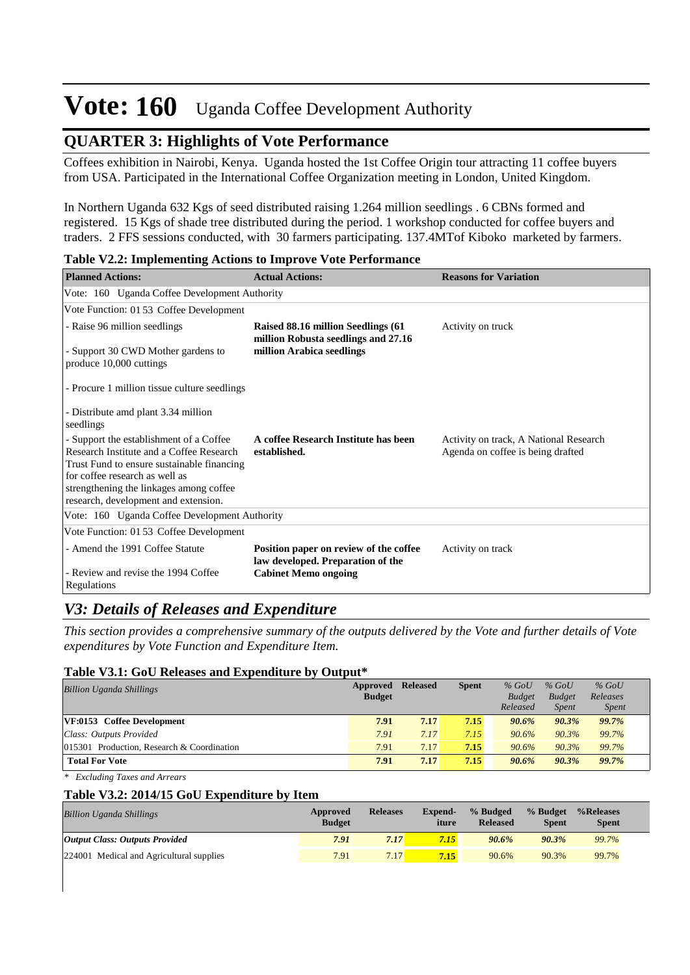## **QUARTER 3: Highlights of Vote Performance**

Coffees exhibition in Nairobi, Kenya. Uganda hosted the 1st Coffee Origin tour attracting 11 coffee buyers from USA. Participated in the International Coffee Organization meeting in London, United Kingdom.

In Northern Uganda 632 Kgs of seed distributed raising 1.264 million seedlings . 6 CBNs formed and registered. 15 Kgs of shade tree distributed during the period. 1 workshop conducted for coffee buyers and traders. 2 FFS sessions conducted, with 30 farmers participating. 137.4MTof Kiboko marketed by farmers.

| <b>Planned Actions:</b>                                                                                                                                                                                                                                | <b>Actual Actions:</b>                                                      | <b>Reasons for Variation</b>                                                |
|--------------------------------------------------------------------------------------------------------------------------------------------------------------------------------------------------------------------------------------------------------|-----------------------------------------------------------------------------|-----------------------------------------------------------------------------|
| Vote: 160 Uganda Coffee Development Authority                                                                                                                                                                                                          |                                                                             |                                                                             |
| Vote Function: 01 53 Coffee Development                                                                                                                                                                                                                |                                                                             |                                                                             |
| - Raise 96 million seedlings                                                                                                                                                                                                                           | Raised 88.16 million Seedlings (61)<br>million Robusta seedlings and 27.16  | Activity on truck                                                           |
| - Support 30 CWD Mother gardens to<br>produce 10,000 cuttings                                                                                                                                                                                          | million Arabica seedlings                                                   |                                                                             |
| - Procure 1 million tissue culture seedlings                                                                                                                                                                                                           |                                                                             |                                                                             |
| - Distribute amd plant 3.34 million<br>seedlings                                                                                                                                                                                                       |                                                                             |                                                                             |
| - Support the establishment of a Coffee<br>Research Institute and a Coffee Research<br>Trust Fund to ensure sustainable financing<br>for coffee research as well as<br>strengthening the linkages among coffee<br>research, development and extension. | A coffee Research Institute has been<br>established.                        | Activity on track, A National Research<br>Agenda on coffee is being drafted |
| Vote: 160 Uganda Coffee Development Authority                                                                                                                                                                                                          |                                                                             |                                                                             |
| Vote Function: 01 53 Coffee Development                                                                                                                                                                                                                |                                                                             |                                                                             |
| - Amend the 1991 Coffee Statute<br>- Review and revise the 1994 Coffee                                                                                                                                                                                 | Position paper on review of the coffee<br>law developed. Preparation of the | Activity on track                                                           |
| Regulations                                                                                                                                                                                                                                            | <b>Cabinet Memo ongoing</b>                                                 |                                                                             |

**Table V2.2: Implementing Actions to Improve Vote Performance**

## *V3: Details of Releases and Expenditure*

*This section provides a comprehensive summary of the outputs delivered by the Vote and further details of Vote expenditures by Vote Function and Expenditure Item.*

#### **Table V3.1: GoU Releases and Expenditure by Output\***

| <b>Billion Uganda Shillings</b>            | Approved      | <b>Released</b> | <b>Spent</b> | $%$ GoU       | $%$ GoU       | $%$ GoU      |
|--------------------------------------------|---------------|-----------------|--------------|---------------|---------------|--------------|
|                                            | <b>Budget</b> |                 |              | <b>Budget</b> | <b>Budget</b> | Releases     |
|                                            |               |                 |              | Released      | Spent         | <i>Spent</i> |
| VF:0153 Coffee Development                 | 7.91          | 7.17            | 7.15         | 90.6%         | 90.3%         | 99.7%        |
| Class: Outputs Provided                    | 7.91          | 7.17            | 7.15         | 90.6%         | 90.3%         | 99.7%        |
| 015301 Production, Research & Coordination | 7.91          | 7.17            | 7.15         | 90.6%         | 90.3%         | 99.7%        |
| <b>Total For Vote</b>                      | 7.91          | 7.17            | 7.15         | 90.6%         | 90.3%         | 99.7%        |

*\* Excluding Taxes and Arrears*

#### **Table V3.2: 2014/15 GoU Expenditure by Item**

| <b>Billion Uganda Shillings</b>          | Approved<br><b>Budget</b> | <b>Releases</b>   | <b>Expend-</b><br>iture | % Budged<br><b>Released</b> | % Budget<br><b>Spent</b> | %Releases<br><b>Spent</b> |
|------------------------------------------|---------------------------|-------------------|-------------------------|-----------------------------|--------------------------|---------------------------|
| <b>Output Class: Outputs Provided</b>    | 7.91                      | 7.17              | 7.15                    | 90.6%                       | 90.3%                    | 99.7%                     |
| 224001 Medical and Agricultural supplies | 7.91                      | 7.17 <sub>1</sub> | 7.15                    | 90.6%                       | 90.3%                    | 99.7%                     |